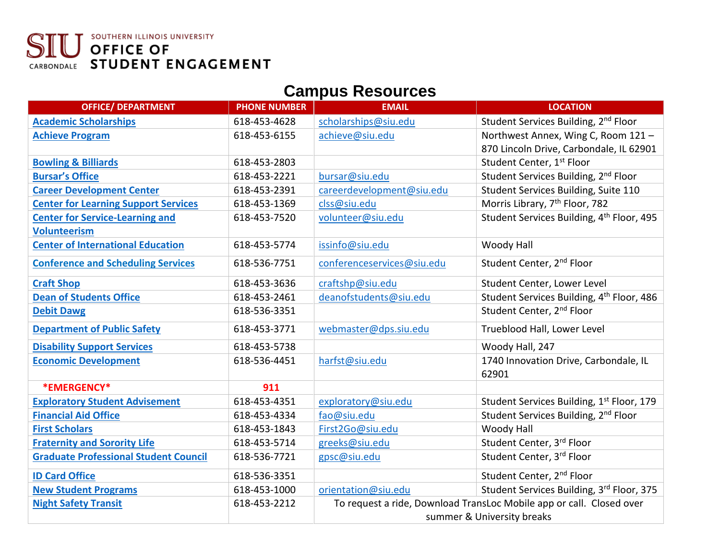#### SOUTHERN ILLINOIS UNIVERSITY SIU OFFICE OF<br>CARBONDALE STUDENT ENGAGEMENT

#### **Campus Resources**

| <b>OFFICE/ DEPARTMENT</b>                    | <b>PHONE NUMBER</b> | <b>EMAIL</b>               | <b>LOCATION</b>                                                      |
|----------------------------------------------|---------------------|----------------------------|----------------------------------------------------------------------|
| <b>Academic Scholarships</b>                 | 618-453-4628        | scholarships@siu.edu       | Student Services Building, 2nd Floor                                 |
| <b>Achieve Program</b>                       | 618-453-6155        | achieve@siu.edu            | Northwest Annex, Wing C, Room 121 -                                  |
|                                              |                     |                            | 870 Lincoln Drive, Carbondale, IL 62901                              |
| <b>Bowling &amp; Billiards</b>               | 618-453-2803        |                            | Student Center, 1 <sup>st</sup> Floor                                |
| <b>Bursar's Office</b>                       | 618-453-2221        | bursar@siu.edu             | Student Services Building, 2 <sup>nd</sup> Floor                     |
| <b>Career Development Center</b>             | 618-453-2391        | careerdevelopment@siu.edu  | Student Services Building, Suite 110                                 |
| <b>Center for Learning Support Services</b>  | 618-453-1369        | clss@siu.edu               | Morris Library, 7 <sup>th</sup> Floor, 782                           |
| <b>Center for Service-Learning and</b>       | 618-453-7520        | volunteer@siu.edu          | Student Services Building, 4th Floor, 495                            |
| <b>Volunteerism</b>                          |                     |                            |                                                                      |
| <b>Center of International Education</b>     | 618-453-5774        | issinfo@siu.edu            | Woody Hall                                                           |
| <b>Conference and Scheduling Services</b>    | 618-536-7751        | conferenceservices@siu.edu | Student Center, 2 <sup>nd</sup> Floor                                |
| <b>Craft Shop</b>                            | 618-453-3636        | craftshp@siu.edu           | Student Center, Lower Level                                          |
| <b>Dean of Students Office</b>               | 618-453-2461        | deanofstudents@siu.edu     | Student Services Building, 4th Floor, 486                            |
| <b>Debit Dawg</b>                            | 618-536-3351        |                            | Student Center, 2 <sup>nd</sup> Floor                                |
| <b>Department of Public Safety</b>           | 618-453-3771        | webmaster@dps.siu.edu      | Trueblood Hall, Lower Level                                          |
| <b>Disability Support Services</b>           | 618-453-5738        |                            | Woody Hall, 247                                                      |
| <b>Economic Development</b>                  | 618-536-4451        | harfst@siu.edu             | 1740 Innovation Drive, Carbondale, IL                                |
|                                              |                     |                            | 62901                                                                |
| *EMERGENCY*                                  | 911                 |                            |                                                                      |
| <b>Exploratory Student Advisement</b>        | 618-453-4351        | exploratory@siu.edu        | Student Services Building, 1st Floor, 179                            |
| <b>Financial Aid Office</b>                  | 618-453-4334        | fao@siu.edu                | Student Services Building, 2 <sup>nd</sup> Floor                     |
| <b>First Scholars</b>                        | 618-453-1843        | First2Go@siu.edu           | Woody Hall                                                           |
| <b>Fraternity and Sorority Life</b>          | 618-453-5714        | greeks@siu.edu             | Student Center, 3rd Floor                                            |
| <b>Graduate Professional Student Council</b> | 618-536-7721        | gpsc@siu.edu               | Student Center, 3rd Floor                                            |
| <b>ID Card Office</b>                        | 618-536-3351        |                            | Student Center, 2 <sup>nd</sup> Floor                                |
| <b>New Student Programs</b>                  | 618-453-1000        | orientation@siu.edu        | Student Services Building, 3rd Floor, 375                            |
| <b>Night Safety Transit</b>                  | 618-453-2212        |                            | To request a ride, Download TransLoc Mobile app or call. Closed over |
|                                              |                     | summer & University breaks |                                                                      |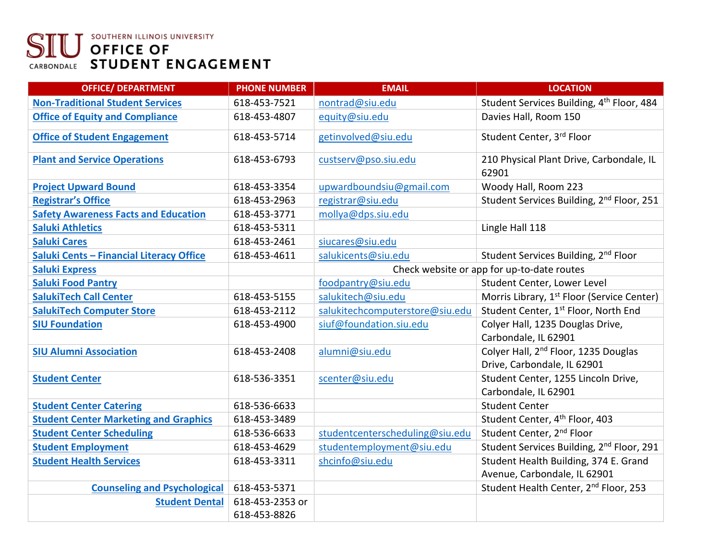# **SIU OFFICE OF**<br>CARBONDALE STUDENT ENGAGEMENT

| <b>OFFICE/ DEPARTMENT</b>                       | <b>PHONE NUMBER</b> | <b>EMAIL</b>                               | <b>LOCATION</b>                                        |
|-------------------------------------------------|---------------------|--------------------------------------------|--------------------------------------------------------|
| <b>Non-Traditional Student Services</b>         | 618-453-7521        | nontrad@siu.edu                            | Student Services Building, 4th Floor, 484              |
| <b>Office of Equity and Compliance</b>          | 618-453-4807        | equity@siu.edu                             | Davies Hall, Room 150                                  |
| <b>Office of Student Engagement</b>             | 618-453-5714        | getinvolved@siu.edu                        | Student Center, 3rd Floor                              |
| <b>Plant and Service Operations</b>             | 618-453-6793        | custserv@pso.siu.edu                       | 210 Physical Plant Drive, Carbondale, IL<br>62901      |
| <b>Project Upward Bound</b>                     | 618-453-3354        | upwardboundsiu@gmail.com                   | Woody Hall, Room 223                                   |
| <b>Registrar's Office</b>                       | 618-453-2963        | registrar@siu.edu                          | Student Services Building, 2 <sup>nd</sup> Floor, 251  |
| <b>Safety Awareness Facts and Education</b>     | 618-453-3771        | mollya@dps.siu.edu                         |                                                        |
| <b>Saluki Athletics</b>                         | 618-453-5311        |                                            | Lingle Hall 118                                        |
| <b>Saluki Cares</b>                             | 618-453-2461        | siucares@siu.edu                           |                                                        |
| <b>Saluki Cents - Financial Literacy Office</b> | 618-453-4611        | salukicents@siu.edu                        | Student Services Building, 2 <sup>nd</sup> Floor       |
| <b>Saluki Express</b>                           |                     | Check website or app for up-to-date routes |                                                        |
| <b>Saluki Food Pantry</b>                       |                     | foodpantry@siu.edu                         | Student Center, Lower Level                            |
| <b>SalukiTech Call Center</b>                   | 618-453-5155        | salukitech@siu.edu                         | Morris Library, 1 <sup>st</sup> Floor (Service Center) |
| <b>SalukiTech Computer Store</b>                | 618-453-2112        | salukitechcomputerstore@siu.edu            | Student Center, 1st Floor, North End                   |
| <b>SIU Foundation</b>                           | 618-453-4900        | siuf@foundation.siu.edu                    | Colyer Hall, 1235 Douglas Drive,                       |
|                                                 |                     |                                            | Carbondale, IL 62901                                   |
| <b>SIU Alumni Association</b>                   | 618-453-2408        | alumni@siu.edu                             | Colyer Hall, 2 <sup>nd</sup> Floor, 1235 Douglas       |
|                                                 |                     |                                            | Drive, Carbondale, IL 62901                            |
| <b>Student Center</b>                           | 618-536-3351        | scenter@siu.edu                            | Student Center, 1255 Lincoln Drive,                    |
|                                                 |                     |                                            | Carbondale, IL 62901                                   |
| <b>Student Center Catering</b>                  | 618-536-6633        |                                            | <b>Student Center</b>                                  |
| <b>Student Center Marketing and Graphics</b>    | 618-453-3489        |                                            | Student Center, 4 <sup>th</sup> Floor, 403             |
| <b>Student Center Scheduling</b>                | 618-536-6633        | studentcenterscheduling@siu.edu            | Student Center, 2 <sup>nd</sup> Floor                  |
| <b>Student Employment</b>                       | 618-453-4629        | studentemployment@siu.edu                  | Student Services Building, 2 <sup>nd</sup> Floor, 291  |
| <b>Student Health Services</b>                  | 618-453-3311        | shcinfo@siu.edu                            | Student Health Building, 374 E. Grand                  |
|                                                 |                     |                                            | Avenue, Carbondale, IL 62901                           |
| <b>Counseling and Psychological</b>             | 618-453-5371        |                                            | Student Health Center, 2 <sup>nd</sup> Floor, 253      |
| <b>Student Dental</b>                           | 618-453-2353 or     |                                            |                                                        |
|                                                 | 618-453-8826        |                                            |                                                        |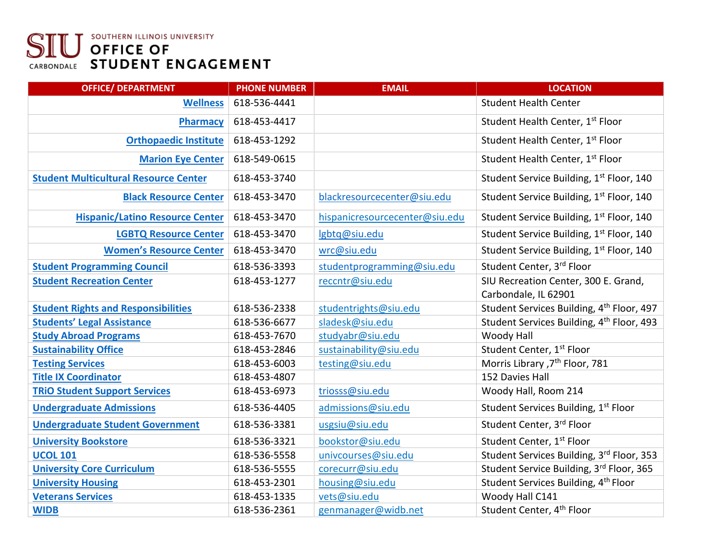# **SIU OFFICE OF**<br>CARBONDALE STUDENT ENGAGEMENT

| <b>OFFICE/ DEPARTMENT</b>                    | <b>PHONE NUMBER</b> | <b>EMAIL</b>                   | <b>LOCATION</b>                                              |
|----------------------------------------------|---------------------|--------------------------------|--------------------------------------------------------------|
| <b>Wellness</b>                              | 618-536-4441        |                                | <b>Student Health Center</b>                                 |
| Pharmacy                                     | 618-453-4417        |                                | Student Health Center, 1st Floor                             |
| <b>Orthopaedic Institute</b>                 | 618-453-1292        |                                | Student Health Center, 1st Floor                             |
| <b>Marion Eye Center</b>                     | 618-549-0615        |                                | Student Health Center, 1st Floor                             |
| <b>Student Multicultural Resource Center</b> | 618-453-3740        |                                | Student Service Building, 1st Floor, 140                     |
| <b>Black Resource Center</b>                 | 618-453-3470        | blackresourcecenter@siu.edu    | Student Service Building, 1st Floor, 140                     |
| <b>Hispanic/Latino Resource Center</b>       | 618-453-3470        | hispanicresourcecenter@siu.edu | Student Service Building, 1st Floor, 140                     |
| <b>LGBTQ Resource Center</b>                 | 618-453-3470        | lgbtq@siu.edu                  | Student Service Building, 1st Floor, 140                     |
| <b>Women's Resource Center</b>               | 618-453-3470        | wrc@siu.edu                    | Student Service Building, 1st Floor, 140                     |
| <b>Student Programming Council</b>           | 618-536-3393        | studentprogramming@siu.edu     | Student Center, 3rd Floor                                    |
| <b>Student Recreation Center</b>             | 618-453-1277        | reccntr@siu.edu                | SIU Recreation Center, 300 E. Grand,<br>Carbondale, IL 62901 |
| <b>Student Rights and Responsibilities</b>   | 618-536-2338        | studentrights@siu.edu          | Student Services Building, 4th Floor, 497                    |
| <b>Students' Legal Assistance</b>            | 618-536-6677        | sladesk@siu.edu                | Student Services Building, 4th Floor, 493                    |
| <b>Study Abroad Programs</b>                 | 618-453-7670        | studyabr@siu.edu               | Woody Hall                                                   |
| <b>Sustainability Office</b>                 | 618-453-2846        | sustainability@siu.edu         | Student Center, 1st Floor                                    |
| <b>Testing Services</b>                      | 618-453-6003        | testing@siu.edu                | Morris Library , 7 <sup>th</sup> Floor, 781                  |
| <b>Title IX Coordinator</b>                  | 618-453-4807        |                                | 152 Davies Hall                                              |
| <b>TRIO Student Support Services</b>         | 618-453-6973        | triosss@siu.edu                | Woody Hall, Room 214                                         |
| <b>Undergraduate Admissions</b>              | 618-536-4405        | admissions@siu.edu             | Student Services Building, 1st Floor                         |
| <b>Undergraduate Student Government</b>      | 618-536-3381        | usgsiu@siu.edu                 | Student Center, 3rd Floor                                    |
| <b>University Bookstore</b>                  | 618-536-3321        | bookstor@siu.edu               | Student Center, 1st Floor                                    |
| <b>UCOL 101</b>                              | 618-536-5558        | univcourses@siu.edu            | Student Services Building, 3rd Floor, 353                    |
| <b>University Core Curriculum</b>            | 618-536-5555        | corecurr@siu.edu               | Student Service Building, 3rd Floor, 365                     |
| <b>University Housing</b>                    | 618-453-2301        | housing@siu.edu                | Student Services Building, 4 <sup>th</sup> Floor             |
| <b>Veterans Services</b>                     | 618-453-1335        | vets@siu.edu                   | Woody Hall C141                                              |
| <b>WIDB</b>                                  | 618-536-2361        | genmanager@widb.net            | Student Center, 4 <sup>th</sup> Floor                        |